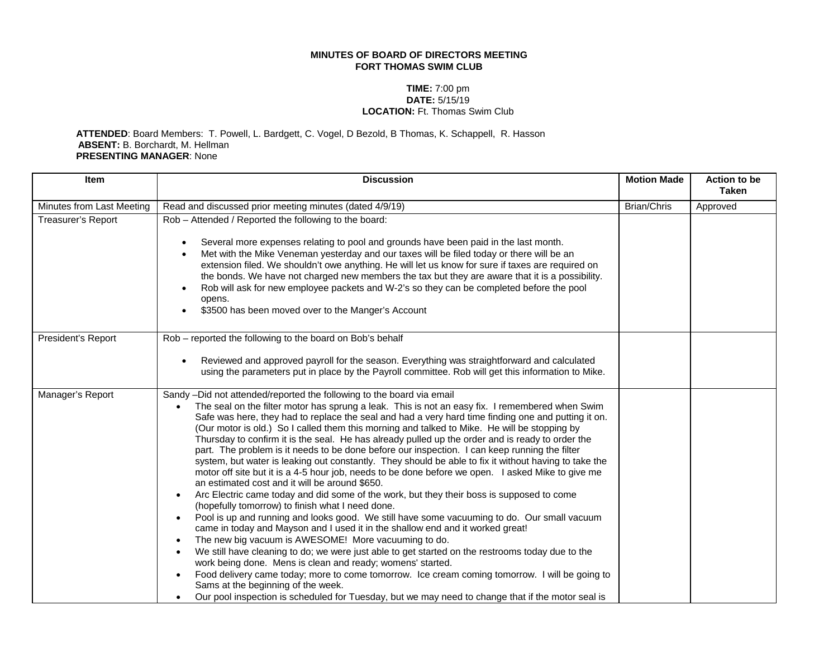## **MINUTES OF BOARD OF DIRECTORS MEETING FORT THOMAS SWIM CLUB**

## **TIME:** 7:00 pm **DATE:** 5/15/19 **LOCATION:** Ft. Thomas Swim Club

## **ATTENDED**: Board Members: T. Powell, L. Bardgett, C. Vogel, D Bezold, B Thomas, K. Schappell, R. Hasson **ABSENT:** B. Borchardt, M. Hellman **PRESENTING MANAGER**: None

| <b>Item</b>               | <b>Discussion</b>                                                                                                                                                                                                                                                                                                                                                                                                                                                                                                                                                                                                                                                                                                                                                                                                                                                                                                                                                                                                                                                                                                                                                                                                                                                                                                                                                                                                                                                                                                                                                                                                                                             | <b>Motion Made</b> | Action to be<br><b>Taken</b> |
|---------------------------|---------------------------------------------------------------------------------------------------------------------------------------------------------------------------------------------------------------------------------------------------------------------------------------------------------------------------------------------------------------------------------------------------------------------------------------------------------------------------------------------------------------------------------------------------------------------------------------------------------------------------------------------------------------------------------------------------------------------------------------------------------------------------------------------------------------------------------------------------------------------------------------------------------------------------------------------------------------------------------------------------------------------------------------------------------------------------------------------------------------------------------------------------------------------------------------------------------------------------------------------------------------------------------------------------------------------------------------------------------------------------------------------------------------------------------------------------------------------------------------------------------------------------------------------------------------------------------------------------------------------------------------------------------------|--------------------|------------------------------|
| Minutes from Last Meeting | Read and discussed prior meeting minutes (dated 4/9/19)                                                                                                                                                                                                                                                                                                                                                                                                                                                                                                                                                                                                                                                                                                                                                                                                                                                                                                                                                                                                                                                                                                                                                                                                                                                                                                                                                                                                                                                                                                                                                                                                       | <b>Brian/Chris</b> | Approved                     |
| Treasurer's Report        | Rob - Attended / Reported the following to the board:<br>Several more expenses relating to pool and grounds have been paid in the last month.<br>Met with the Mike Veneman yesterday and our taxes will be filed today or there will be an<br>extension filed. We shouldn't owe anything. He will let us know for sure if taxes are required on<br>the bonds. We have not charged new members the tax but they are aware that it is a possibility.<br>Rob will ask for new employee packets and W-2's so they can be completed before the pool<br>opens.<br>\$3500 has been moved over to the Manger's Account                                                                                                                                                                                                                                                                                                                                                                                                                                                                                                                                                                                                                                                                                                                                                                                                                                                                                                                                                                                                                                                |                    |                              |
| President's Report        | Rob - reported the following to the board on Bob's behalf<br>Reviewed and approved payroll for the season. Everything was straightforward and calculated<br>using the parameters put in place by the Payroll committee. Rob will get this information to Mike.                                                                                                                                                                                                                                                                                                                                                                                                                                                                                                                                                                                                                                                                                                                                                                                                                                                                                                                                                                                                                                                                                                                                                                                                                                                                                                                                                                                                |                    |                              |
| Manager's Report          | Sandy -Did not attended/reported the following to the board via email<br>The seal on the filter motor has sprung a leak. This is not an easy fix. I remembered when Swim<br>Safe was here, they had to replace the seal and had a very hard time finding one and putting it on.<br>(Our motor is old.) So I called them this morning and talked to Mike. He will be stopping by<br>Thursday to confirm it is the seal. He has already pulled up the order and is ready to order the<br>part. The problem is it needs to be done before our inspection. I can keep running the filter<br>system, but water is leaking out constantly. They should be able to fix it without having to take the<br>motor off site but it is a 4-5 hour job, needs to be done before we open. I asked Mike to give me<br>an estimated cost and it will be around \$650.<br>Arc Electric came today and did some of the work, but they their boss is supposed to come<br>(hopefully tomorrow) to finish what I need done.<br>Pool is up and running and looks good. We still have some vacuuming to do. Our small vacuum<br>came in today and Mayson and I used it in the shallow end and it worked great!<br>The new big vacuum is AWESOME! More vacuuming to do.<br>We still have cleaning to do; we were just able to get started on the restrooms today due to the<br>work being done. Mens is clean and ready; womens' started.<br>Food delivery came today; more to come tomorrow. Ice cream coming tomorrow. I will be going to<br>Sams at the beginning of the week.<br>Our pool inspection is scheduled for Tuesday, but we may need to change that if the motor seal is |                    |                              |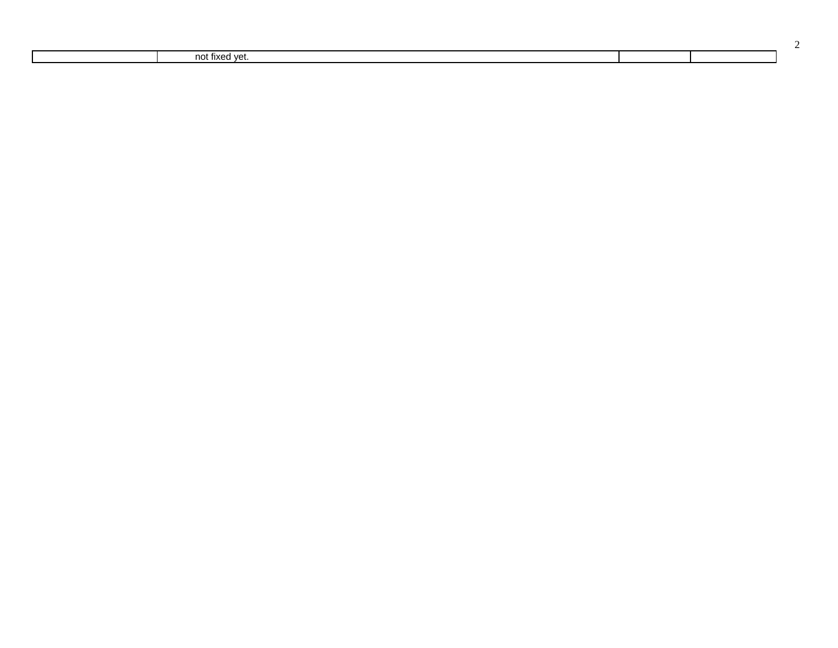| no.<br>$\mathbf{A}$<br>.<br>. |  |
|-------------------------------|--|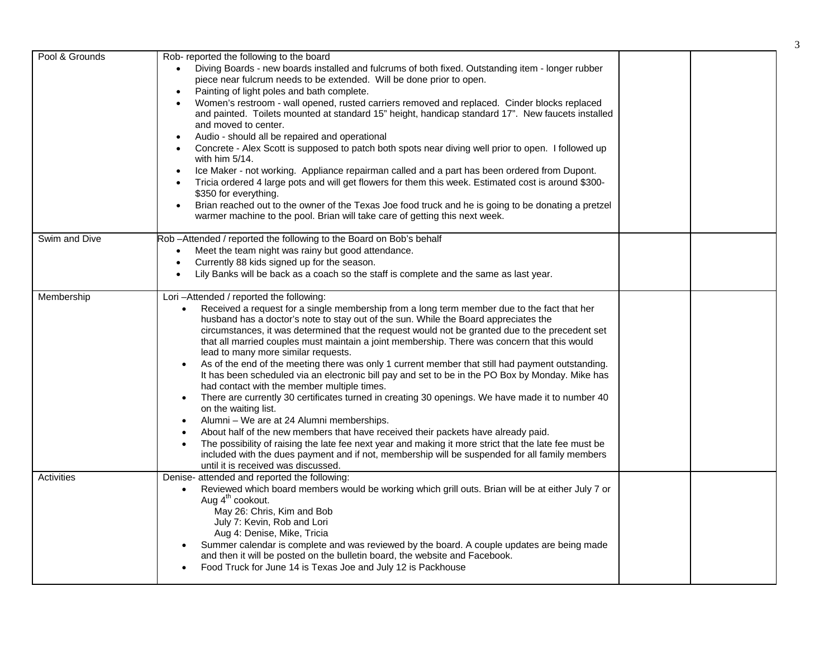| Pool & Grounds | Rob- reported the following to the board                                                                       |  |
|----------------|----------------------------------------------------------------------------------------------------------------|--|
|                | Diving Boards - new boards installed and fulcrums of both fixed. Outstanding item - longer rubber              |  |
|                | piece near fulcrum needs to be extended. Will be done prior to open.                                           |  |
|                | Painting of light poles and bath complete.                                                                     |  |
|                | Women's restroom - wall opened, rusted carriers removed and replaced. Cinder blocks replaced                   |  |
|                | and painted. Toilets mounted at standard 15" height, handicap standard 17". New faucets installed              |  |
|                | and moved to center.                                                                                           |  |
|                | Audio - should all be repaired and operational                                                                 |  |
|                | Concrete - Alex Scott is supposed to patch both spots near diving well prior to open. I followed up            |  |
|                | with him $5/14$ .                                                                                              |  |
|                | Ice Maker - not working. Appliance repairman called and a part has been ordered from Dupont.                   |  |
|                | Tricia ordered 4 large pots and will get flowers for them this week. Estimated cost is around \$300-           |  |
|                | \$350 for everything.                                                                                          |  |
|                | Brian reached out to the owner of the Texas Joe food truck and he is going to be donating a pretzel            |  |
|                | warmer machine to the pool. Brian will take care of getting this next week.                                    |  |
|                |                                                                                                                |  |
| Swim and Dive  | Rob-Attended / reported the following to the Board on Bob's behalf                                             |  |
|                | Meet the team night was rainy but good attendance.                                                             |  |
|                | Currently 88 kids signed up for the season.                                                                    |  |
|                | Lily Banks will be back as a coach so the staff is complete and the same as last year.                         |  |
|                |                                                                                                                |  |
| Membership     | Lori-Attended / reported the following:                                                                        |  |
|                | Received a request for a single membership from a long term member due to the fact that her<br>$\bullet$       |  |
|                | husband has a doctor's note to stay out of the sun. While the Board appreciates the                            |  |
|                | circumstances, it was determined that the request would not be granted due to the precedent set                |  |
|                | that all married couples must maintain a joint membership. There was concern that this would                   |  |
|                | lead to many more similar requests.                                                                            |  |
|                | As of the end of the meeting there was only 1 current member that still had payment outstanding.<br>$\bullet$  |  |
|                | It has been scheduled via an electronic bill pay and set to be in the PO Box by Monday. Mike has               |  |
|                | had contact with the member multiple times.                                                                    |  |
|                | There are currently 30 certificates turned in creating 30 openings. We have made it to number 40               |  |
|                | on the waiting list.                                                                                           |  |
|                | Alumni - We are at 24 Alumni memberships.                                                                      |  |
|                | About half of the new members that have received their packets have already paid.<br>$\bullet$                 |  |
|                | The possibility of raising the late fee next year and making it more strict that the late fee must be          |  |
|                | included with the dues payment and if not, membership will be suspended for all family members                 |  |
|                | until it is received was discussed.                                                                            |  |
| Activities     | Denise- attended and reported the following:                                                                   |  |
|                | Reviewed which board members would be working which grill outs. Brian will be at either July 7 or<br>$\bullet$ |  |
|                | Aug 4 <sup>th</sup> cookout.                                                                                   |  |
|                | May 26: Chris, Kim and Bob                                                                                     |  |
|                | July 7: Kevin, Rob and Lori                                                                                    |  |
|                | Aug 4: Denise, Mike, Tricia                                                                                    |  |
|                | Summer calendar is complete and was reviewed by the board. A couple updates are being made                     |  |
|                | and then it will be posted on the bulletin board, the website and Facebook.                                    |  |
|                | Food Truck for June 14 is Texas Joe and July 12 is Packhouse                                                   |  |
|                |                                                                                                                |  |